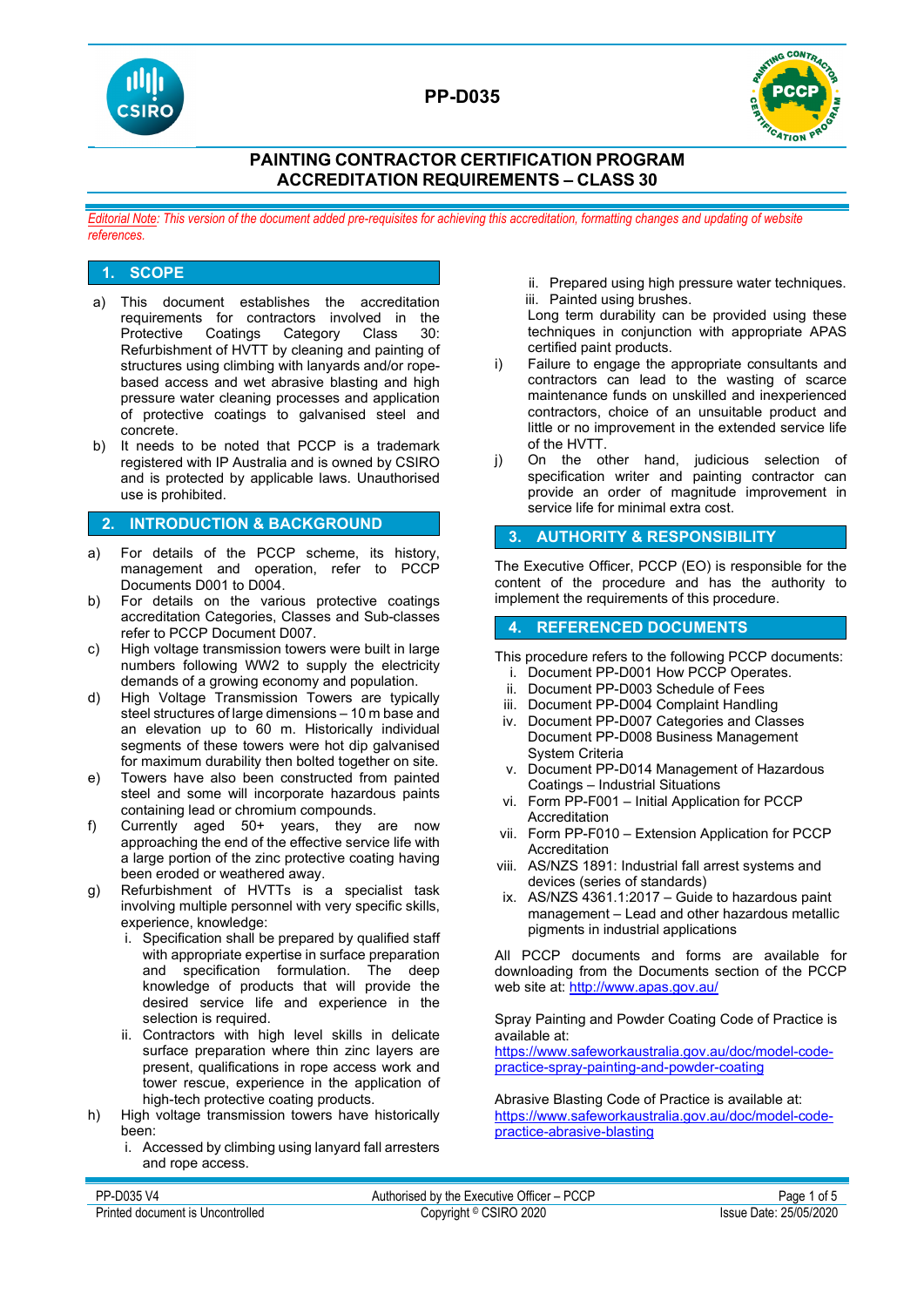

# **PP-D035**



## **PAINTING CONTRACTOR CERTIFICATION PROGRAM ACCREDITATION REQUIREMENTS – CLASS 30**

*Editorial Note: This version of the document added pre-requisites for achieving this accreditation, formatting changes and updating of website references.*

## **1. SCOPE**

- a) This document establishes the accreditation requirements for contractors involved in the<br>Protective Coatings Category Class 30: Protective Coatings Category Class Refurbishment of HVTT by cleaning and painting of structures using climbing with lanyards and/or ropebased access and wet abrasive blasting and high pressure water cleaning processes and application of protective coatings to galvanised steel and concrete.
- b) It needs to be noted that PCCP is a trademark registered with IP Australia and is owned by CSIRO and is protected by applicable laws. Unauthorised use is prohibited.

#### **2. INTRODUCTION & BACKGROUND**

- a) For details of the PCCP scheme, its history, management and operation, refer to PCCP Documents D001 to D004.
- b) For details on the various protective coatings accreditation Categories, Classes and Sub-classes refer to PCCP Document D007.
- c) High voltage transmission towers were built in large numbers following WW2 to supply the electricity demands of a growing economy and population.
- d) High Voltage Transmission Towers are typically steel structures of large dimensions – 10 m base and an elevation up to 60 m. Historically individual segments of these towers were hot dip galvanised for maximum durability then bolted together on site.
- e) Towers have also been constructed from painted steel and some will incorporate hazardous paints containing lead or chromium compounds.
- f) Currently aged 50+ years, they are now approaching the end of the effective service life with a large portion of the zinc protective coating having been eroded or weathered away.
- g) Refurbishment of HVTTs is a specialist task involving multiple personnel with very specific skills, experience, knowledge:
	- i. Specification shall be prepared by qualified staff with appropriate expertise in surface preparation and specification formulation. The deep knowledge of products that will provide the desired service life and experience in the selection is required.
	- ii. Contractors with high level skills in delicate surface preparation where thin zinc layers are present, qualifications in rope access work and tower rescue, experience in the application of high-tech protective coating products.
- h) High voltage transmission towers have historically been:
	- i. Accessed by climbing using lanyard fall arresters and rope access.

ii. Prepared using high pressure water techniques. iii. Painted using brushes.

Long term durability can be provided using these techniques in conjunction with appropriate APAS certified paint products.

- i) Failure to engage the appropriate consultants and contractors can lead to the wasting of scarce maintenance funds on unskilled and inexperienced contractors, choice of an unsuitable product and little or no improvement in the extended service life of the HVTT.
- j) On the other hand, judicious selection of specification writer and painting contractor can provide an order of magnitude improvement in service life for minimal extra cost.

## **3. AUTHORITY & RESPONSIBILITY**

The Executive Officer, PCCP (EO) is responsible for the content of the procedure and has the authority to implement the requirements of this procedure.

#### **4. REFERENCED DOCUMENTS**

- This procedure refers to the following PCCP documents: i. Document PP-D001 How PCCP Operates.
	- ii. Document PP-D003 Schedule of Fees
- iii. Document PP-D004 Complaint Handling
- iv. Document PP-D007 Categories and Classes Document PP-D008 Business Management System Criteria
- v. Document PP-D014 Management of Hazardous Coatings – Industrial Situations
- vi. Form PP-F001 Initial Application for PCCP Accreditation
- vii. Form PP-F010 Extension Application for PCCP Accreditation
- viii. AS/NZS 1891: Industrial fall arrest systems and devices (series of standards)
- ix. AS/NZS 4361.1:2017 Guide to hazardous paint management – Lead and other hazardous metallic pigments in industrial applications

All PCCP documents and forms are available for downloading from the Documents section of the PCCP web site at: <http://www.apas.gov.au/>

Spray Painting and Powder Coating Code of Practice is available at:

[https://www.safeworkaustralia.gov.au/doc/model-code](https://www.safeworkaustralia.gov.au/doc/model-code-practice-spray-painting-and-powder-coating)[practice-spray-painting-and-powder-coating](https://www.safeworkaustralia.gov.au/doc/model-code-practice-spray-painting-and-powder-coating)

Abrasive Blasting Code of Practice is available at: [https://www.safeworkaustralia.gov.au/doc/model-code](https://www.safeworkaustralia.gov.au/doc/model-code-practice-abrasive-blasting)[practice-abrasive-blasting](https://www.safeworkaustralia.gov.au/doc/model-code-practice-abrasive-blasting)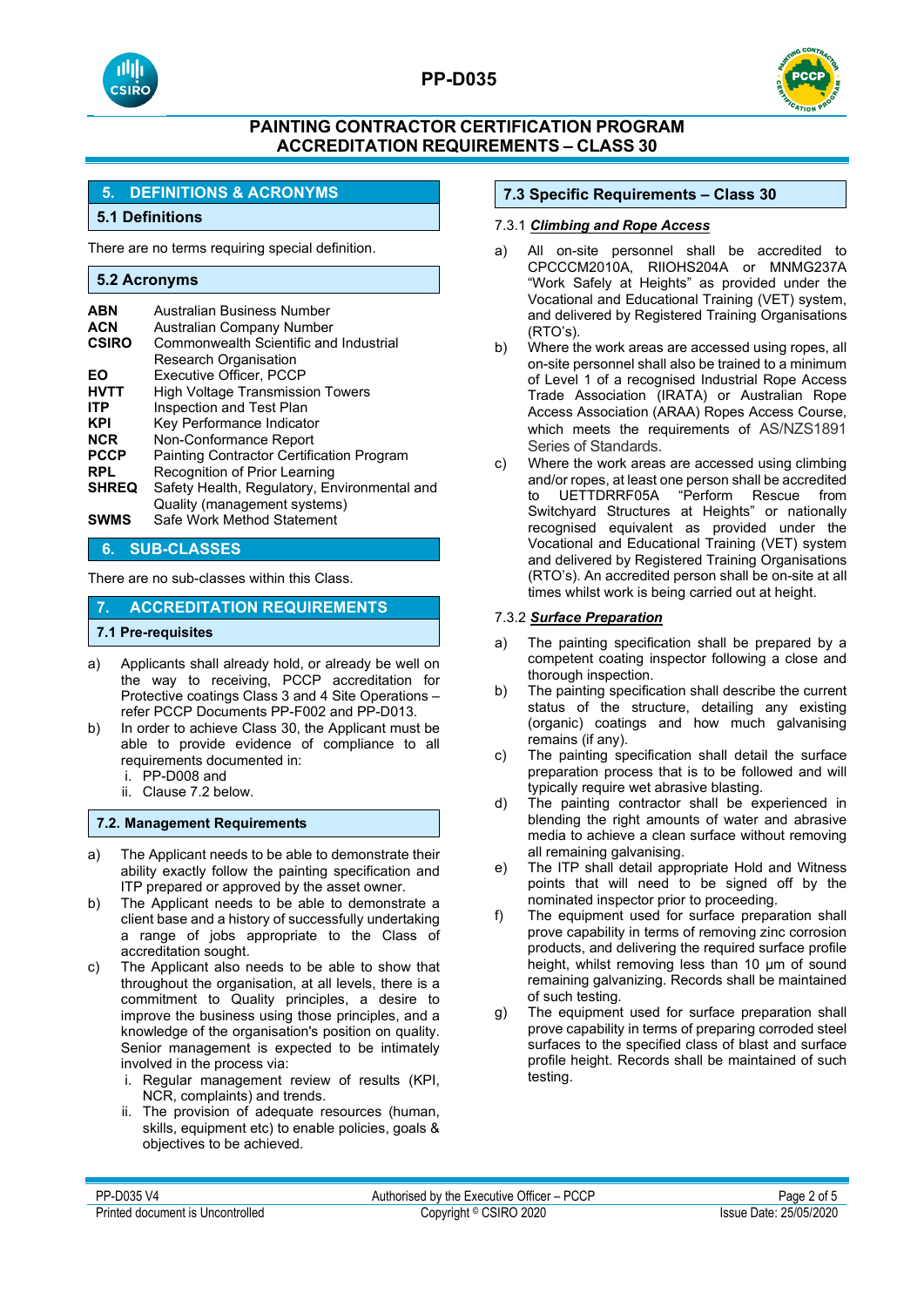



## **5. DEFINITIONS & ACRONYMS**

## **5.1 Definitions**

There are no terms requiring special definition.

#### **5.2 Acronyms**

| <b>ABN</b><br><b>ACN</b><br><b>CSIRO</b> | Australian Business Number<br>Australian Company Number<br>Commonwealth Scientific and Industrial |
|------------------------------------------|---------------------------------------------------------------------------------------------------|
| EΟ                                       | Research Organisation<br>Executive Officer, PCCP                                                  |
| <b>HVTT</b>                              | <b>High Voltage Transmission Towers</b>                                                           |
|                                          |                                                                                                   |
| <b>ITP</b>                               | Inspection and Test Plan                                                                          |
| <b>KPI</b>                               | Key Performance Indicator                                                                         |
| <b>NCR</b>                               | Non-Conformance Report                                                                            |
| <b>PCCP</b>                              | <b>Painting Contractor Certification Program</b>                                                  |
| <b>RPL</b>                               | Recognition of Prior Learning                                                                     |
| <b>SHREQ</b>                             | Safety Health, Regulatory, Environmental and                                                      |
|                                          | Quality (management systems)                                                                      |
| <b>SWMS</b>                              | Safe Work Method Statement                                                                        |

#### **6. SUB-CLASSES**

There are no sub-classes within this Class.

#### **7. ACCREDITATION REQUIREMENTS**

#### **7.1 Pre-requisites**

- a) Applicants shall already hold, or already be well on the way to receiving, PCCP accreditation for Protective coatings Class 3 and 4 Site Operations – refer PCCP Documents PP-F002 and PP-D013.
- b) In order to achieve Class 30, the Applicant must be able to provide evidence of compliance to all requirements documented in:
	- i. PP-D008 and
	- ii. Clause 7.2 below.

#### **7.2. Management Requirements**

- a) The Applicant needs to be able to demonstrate their ability exactly follow the painting specification and ITP prepared or approved by the asset owner.
- b) The Applicant needs to be able to demonstrate a client base and a history of successfully undertaking a range of jobs appropriate to the Class of accreditation sought.
- c) The Applicant also needs to be able to show that throughout the organisation, at all levels, there is a commitment to Quality principles, a desire to improve the business using those principles, and a knowledge of the organisation's position on quality. Senior management is expected to be intimately involved in the process via:
	- i. Regular management review of results (KPI, NCR, complaints) and trends.
	- ii. The provision of adequate resources (human, skills, equipment etc) to enable policies, goals & objectives to be achieved.

## **7.3 Specific Requirements – Class 30**

#### 7.3.1 *Climbing and Rope Access*

- a) All on-site personnel shall be accredited to CPCCCM2010A, RIIOHS204A or MNMG237A "Work Safely at Heights" as provided under the Vocational and Educational Training (VET) system, and delivered by Registered Training Organisations (RTO's).
- b) Where the work areas are accessed using ropes, all on-site personnel shall also be trained to a minimum of Level 1 of a recognised Industrial Rope Access Trade Association (IRATA) or Australian Rope Access Association (ARAA) Ropes Access Course, which meets the requirements of AS/NZS1891 Series of Standards.
- c) Where the work areas are accessed using climbing and/or ropes, at least one person shall be accredited to UETTDRRF05A "Perform Rescue Switchyard Structures at Heights" or nationally recognised equivalent as provided under the Vocational and Educational Training (VET) system and delivered by Registered Training Organisations (RTO's). An accredited person shall be on-site at all times whilst work is being carried out at height.

#### 7.3.2 *Surface Preparation*

- a) The painting specification shall be prepared by a competent coating inspector following a close and thorough inspection.
- b) The painting specification shall describe the current status of the structure, detailing any existing (organic) coatings and how much galvanising remains (if any).
- c) The painting specification shall detail the surface preparation process that is to be followed and will typically require wet abrasive blasting.
- d) The painting contractor shall be experienced in blending the right amounts of water and abrasive media to achieve a clean surface without removing all remaining galvanising.
- e) The ITP shall detail appropriate Hold and Witness points that will need to be signed off by the nominated inspector prior to proceeding.
- f) The equipment used for surface preparation shall prove capability in terms of removing zinc corrosion products, and delivering the required surface profile height, whilst removing less than 10 um of sound remaining galvanizing. Records shall be maintained of such testing.
- g) The equipment used for surface preparation shall prove capability in terms of preparing corroded steel surfaces to the specified class of blast and surface profile height. Records shall be maintained of such testing.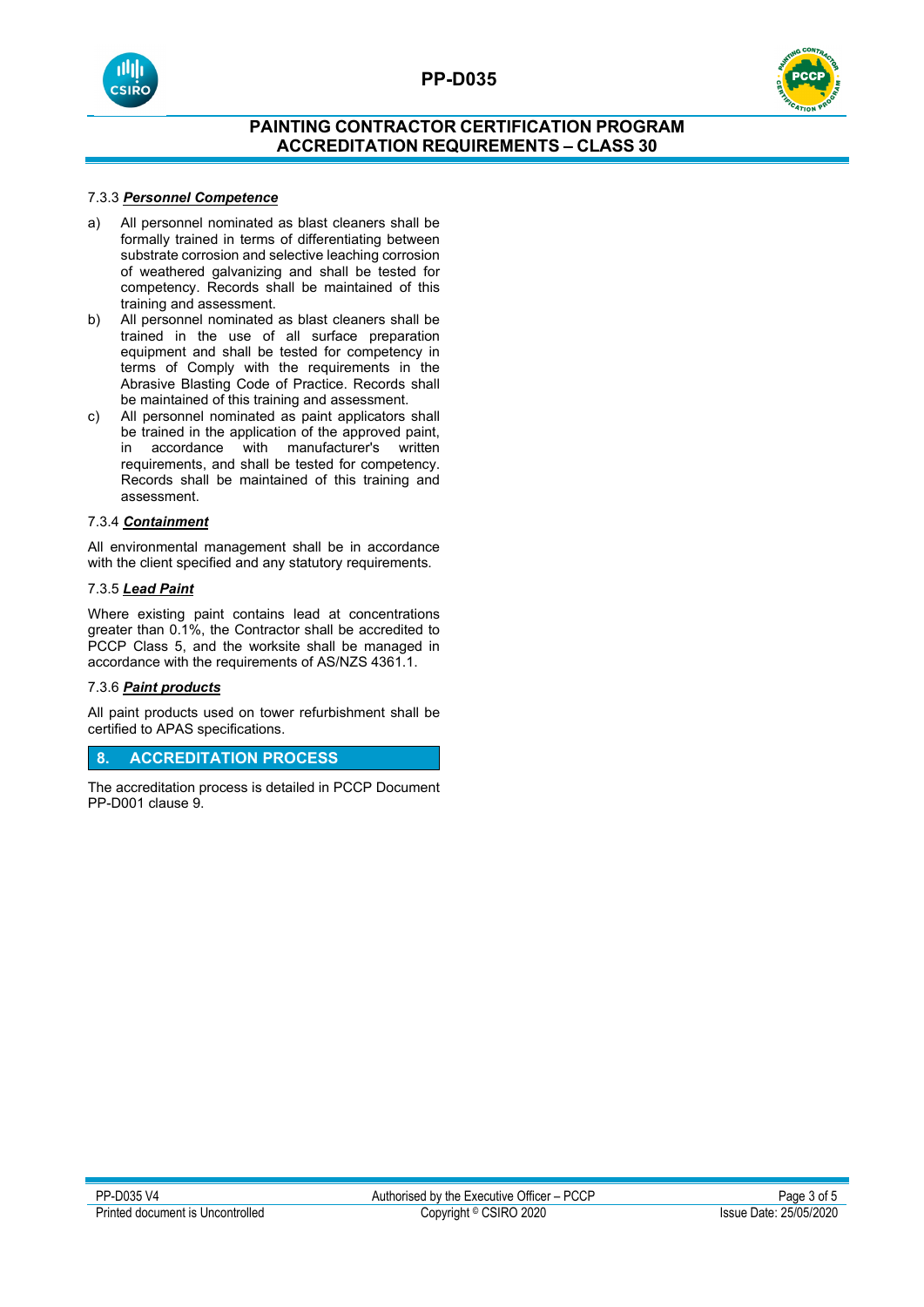



## 7.3.3 *Personnel Competence*

- a) All personnel nominated as blast cleaners shall be formally trained in terms of differentiating between substrate corrosion and selective leaching corrosion of weathered galvanizing and shall be tested for competency. Records shall be maintained of this training and assessment.
- b) All personnel nominated as blast cleaners shall be trained in the use of all surface preparation equipment and shall be tested for competency in terms of Comply with the requirements in the Abrasive Blasting Code of Practice. Records shall be maintained of this training and assessment.
- c) All personnel nominated as paint applicators shall be trained in the application of the approved paint, in accordance with manufacturer's written requirements, and shall be tested for competency. Records shall be maintained of this training and assessment.

#### 7.3.4 *Containment*

All environmental management shall be in accordance with the client specified and any statutory requirements.

### 7.3.5 *Lead Paint*

Where existing paint contains lead at concentrations greater than 0.1%, the Contractor shall be accredited to PCCP Class 5, and the worksite shall be managed in accordance with the requirements of AS/NZS 4361.1.

#### 7.3.6 *Paint products*

All paint products used on tower refurbishment shall be certified to APAS specifications.

## **8. ACCREDITATION PROCESS**

The accreditation process is detailed in PCCP Document PP-D001 clause 9.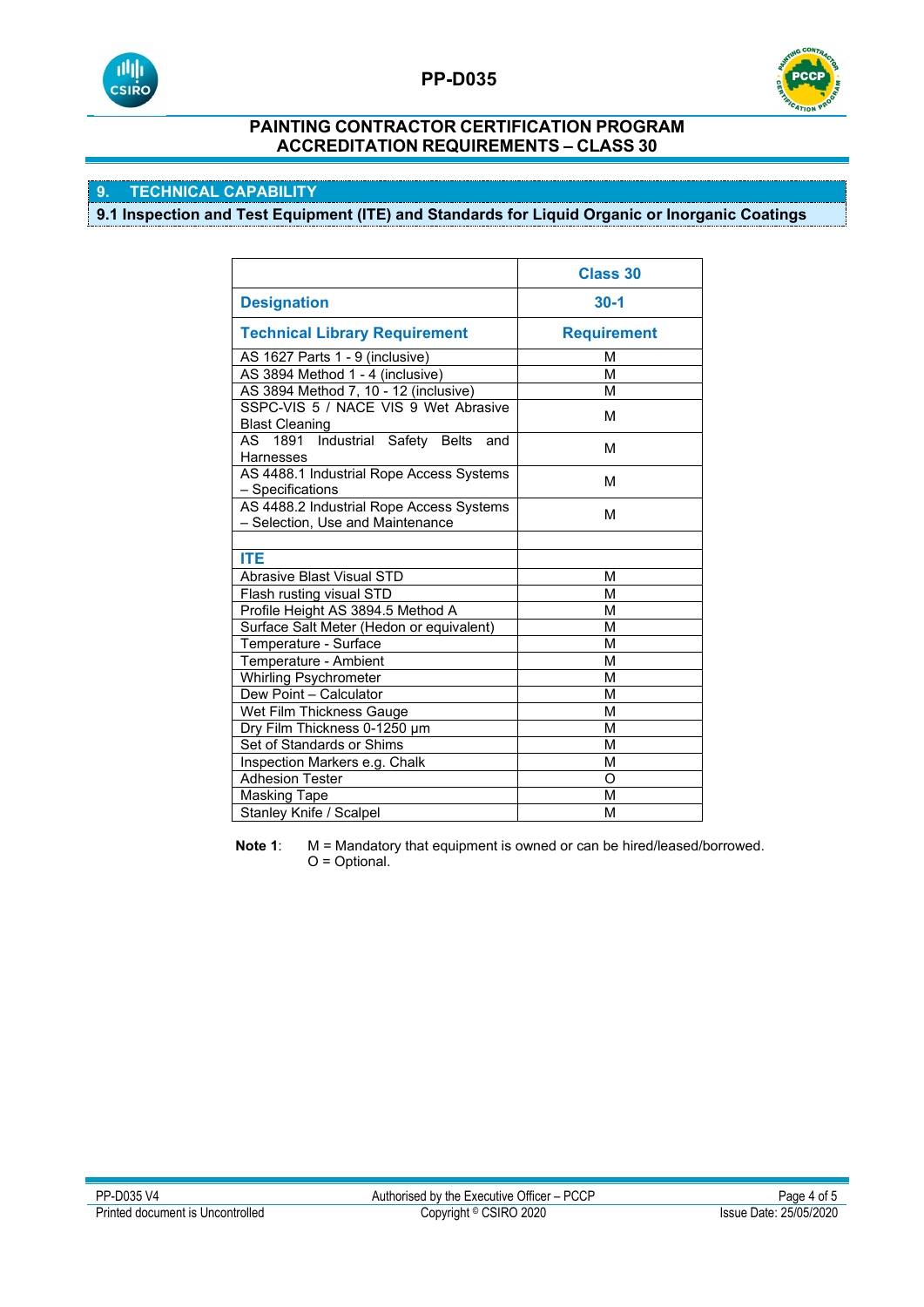



# **9. TECHNICAL CAPABILITY**

**9.1 Inspection and Test Equipment (ITE) and Standards for Liquid Organic or Inorganic Coatings**

|                                                                              | <b>Class 30</b>    |
|------------------------------------------------------------------------------|--------------------|
| <b>Designation</b>                                                           | $30-1$             |
| <b>Technical Library Requirement</b>                                         | <b>Requirement</b> |
| AS 1627 Parts 1 - 9 (inclusive)                                              | М                  |
| AS 3894 Method 1 - 4 (inclusive)                                             | М                  |
| AS 3894 Method 7, 10 - 12 (inclusive)                                        | М                  |
| SSPC-VIS 5 / NACE VIS 9 Wet Abrasive<br><b>Blast Cleaning</b>                | м                  |
| AS 1891 Industrial<br>Safety Belts<br>and<br>Harnesses                       | М                  |
| AS 4488.1 Industrial Rope Access Systems<br>- Specifications                 | М                  |
| AS 4488.2 Industrial Rope Access Systems<br>- Selection, Use and Maintenance | M                  |
|                                                                              |                    |
| <b>ITE</b>                                                                   |                    |
| <b>Abrasive Blast Visual STD</b>                                             | М                  |
| Flash rusting visual STD                                                     | М                  |
| Profile Height AS 3894.5 Method A                                            | M                  |
| Surface Salt Meter (Hedon or equivalent)                                     | М                  |
| Temperature - Surface                                                        | М                  |
| Temperature - Ambient                                                        | М                  |
| Whirling Psychrometer                                                        | M                  |
| Dew Point - Calculator                                                       | М                  |
| Wet Film Thickness Gauge                                                     | M                  |
| Dry Film Thickness 0-1250 µm                                                 | М                  |
| Set of Standards or Shims                                                    | M                  |
| Inspection Markers e.g. Chalk                                                | М                  |
| <b>Adhesion Tester</b>                                                       | O                  |
| <b>Masking Tape</b>                                                          | М                  |
| Stanley Knife / Scalpel                                                      | M                  |

**Note 1:** M = Mandatory that equipment is owned or can be hired/leased/borrowed. O = Optional.